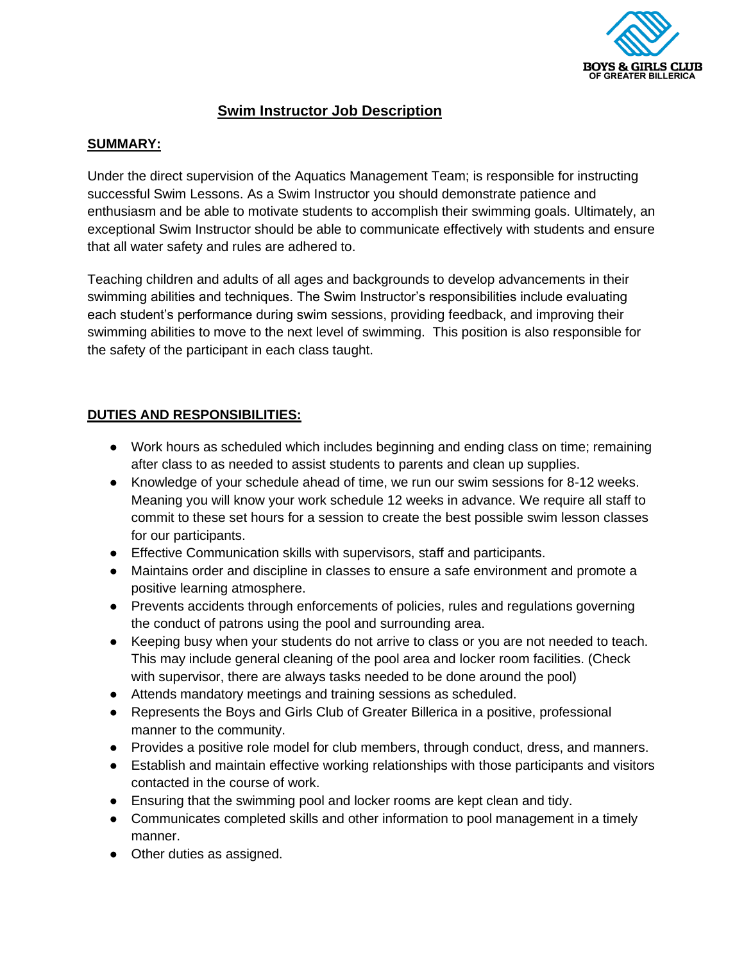

# **Swim Instructor Job Description**

### **SUMMARY:**

Under the direct supervision of the Aquatics Management Team; is responsible for instructing successful Swim Lessons. As a Swim Instructor you should demonstrate patience and enthusiasm and be able to motivate students to accomplish their swimming goals. Ultimately, an exceptional Swim Instructor should be able to communicate effectively with students and ensure that all water safety and rules are adhered to.

Teaching children and adults of all ages and backgrounds to develop advancements in their swimming abilities and techniques. The Swim Instructor's responsibilities include evaluating each student's performance during swim sessions, providing feedback, and improving their swimming abilities to move to the next level of swimming. This position is also responsible for the safety of the participant in each class taught.

# **DUTIES AND RESPONSIBILITIES:**

- Work hours as scheduled which includes beginning and ending class on time; remaining after class to as needed to assist students to parents and clean up supplies.
- Knowledge of your schedule ahead of time, we run our swim sessions for 8-12 weeks. Meaning you will know your work schedule 12 weeks in advance. We require all staff to commit to these set hours for a session to create the best possible swim lesson classes for our participants.
- Effective Communication skills with supervisors, staff and participants.
- Maintains order and discipline in classes to ensure a safe environment and promote a positive learning atmosphere.
- Prevents accidents through enforcements of policies, rules and regulations governing the conduct of patrons using the pool and surrounding area.
- Keeping busy when your students do not arrive to class or you are not needed to teach. This may include general cleaning of the pool area and locker room facilities. (Check with supervisor, there are always tasks needed to be done around the pool)
- Attends mandatory meetings and training sessions as scheduled.
- Represents the Boys and Girls Club of Greater Billerica in a positive, professional manner to the community.
- Provides a positive role model for club members, through conduct, dress, and manners.
- Establish and maintain effective working relationships with those participants and visitors contacted in the course of work.
- Ensuring that the swimming pool and locker rooms are kept clean and tidy.
- Communicates completed skills and other information to pool management in a timely manner.
- Other duties as assigned.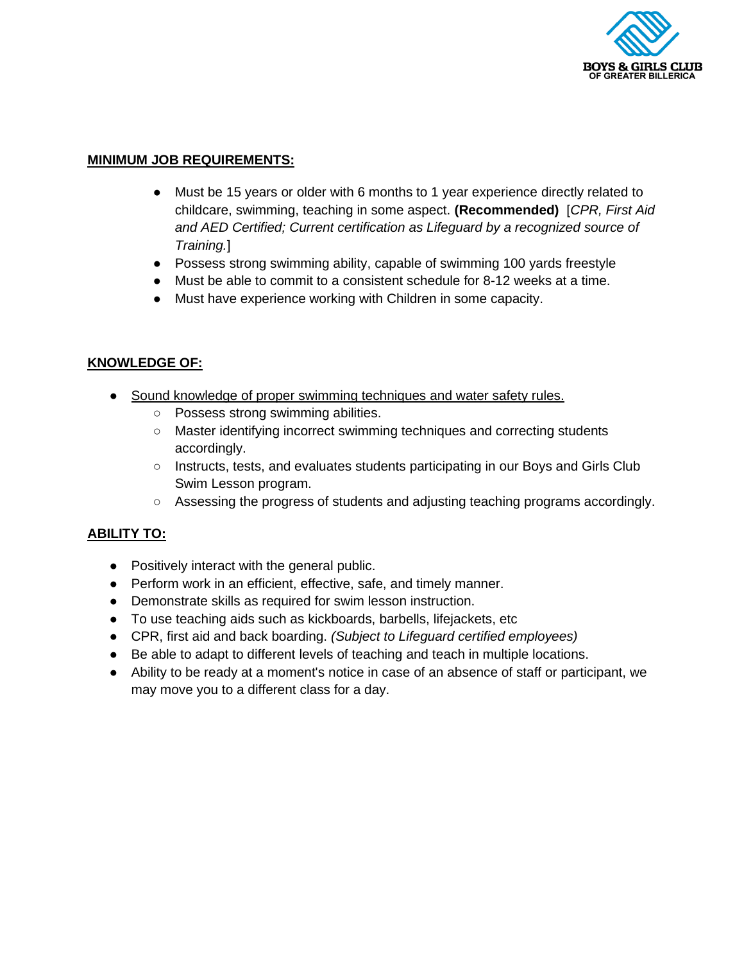

## **MINIMUM JOB REQUIREMENTS:**

- Must be 15 years or older with 6 months to 1 year experience directly related to childcare, swimming, teaching in some aspect. **(Recommended)** [*CPR, First Aid and AED Certified; Current certification as Lifeguard by a recognized source of Training.*]
- Possess strong swimming ability, capable of swimming 100 yards freestyle
- Must be able to commit to a consistent schedule for 8-12 weeks at a time.
- Must have experience working with Children in some capacity.

### **KNOWLEDGE OF:**

- Sound knowledge of proper swimming techniques and water safety rules.
	- Possess strong swimming abilities.
	- Master identifying incorrect swimming techniques and correcting students accordingly.
	- Instructs, tests, and evaluates students participating in our Boys and Girls Club Swim Lesson program.
	- Assessing the progress of students and adjusting teaching programs accordingly.

#### **ABILITY TO:**

- Positively interact with the general public.
- Perform work in an efficient, effective, safe, and timely manner.
- Demonstrate skills as required for swim lesson instruction.
- To use teaching aids such as kickboards, barbells, lifejackets, etc
- CPR, first aid and back boarding. *(Subject to Lifeguard certified employees)*
- Be able to adapt to different levels of teaching and teach in multiple locations.
- Ability to be ready at a moment's notice in case of an absence of staff or participant, we may move you to a different class for a day.